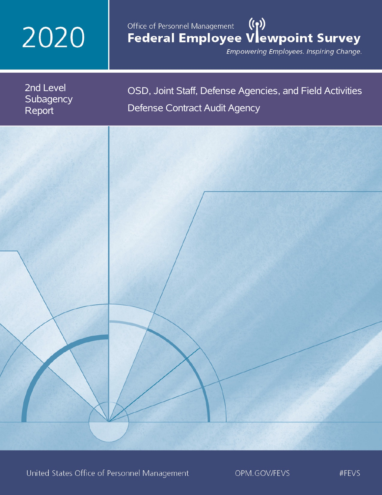# 2020

# $(3)$ Office of Personnel Management Federal Employee Vlewpoint Survey

Empowering Employees. Inspiring Change.

| 2nd Level<br>Subagency<br>Report | OSD, Joint Staff, Defense Agencies, and Field Activities<br>Defense Contract Audit Agency |
|----------------------------------|-------------------------------------------------------------------------------------------|
|                                  |                                                                                           |
|                                  |                                                                                           |
|                                  |                                                                                           |
|                                  |                                                                                           |
|                                  |                                                                                           |
|                                  |                                                                                           |

United States Office of Personnel Management

OPM.GOV/FEVS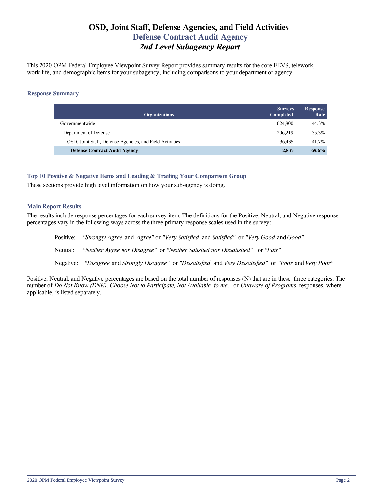# **OSD, Joint Staff, Defense Agencies, and Field Activities Defense Contract Audit Agency** *2nd Level Subagency Report*

This 2020 OPM Federal Employee Viewpoint Survey Report provides summary results for the core FEVS, telework, work-life, and demographic items for your subagency, including comparisons to your department or agency.

#### **Response Summary**

| <b>Organizations</b>                                     | <b>Surveys</b><br>Completed | <b>Response</b><br>Rate |
|----------------------------------------------------------|-----------------------------|-------------------------|
| Governmentwide                                           | 624.800                     | 44.3%                   |
| Department of Defense                                    | 206,219                     | 35.3%                   |
| OSD, Joint Staff, Defense Agencies, and Field Activities | 36,435                      | 41.7%                   |
| <b>Defense Contract Audit Agency</b>                     | 2,835                       | 68.6%                   |

**Top 10 Positive & Negative Items and Leading & Trailing Your Comparison Group**

These sections provide high level information on how your sub-agency is doing.

## **Main Report Results**

The results include response percentages for each survey item. The definitions for the Positive, Neutral, and Negative response percentages vary in the following ways across the three primary response scales used in the survey:

Positive: *"Strongly Agree* and *Agree"* or *"Very Satisfied* and *Satisfied"* or *"Very Good* and *Good"* Neutral: *"Neither Agree nor Disagree"* or *"Neither Satisfied nor Dissatisfied"* or *"Fair"* Negative: *"Disagree* and *Strongly Disagree"* or *"Dissatisfied* and *Very Dissatisfied"* or *"Poor* and *Very Poor"*

Positive, Neutral, and Negative percentages are based on the total number of responses (N) that are in these three categories. The number of *Do Not Know (DNK), Choose Not to Participate, Not Available to me,* or *Unaware of Programs* responses, where applicable, is listed separately.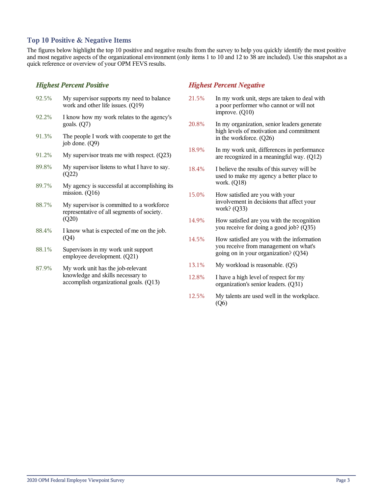## **Top 10 Positive & Negative Items**

The figures below highlight the top 10 positive and negative results from the survey to help you quickly identify the most positive and most negative aspects of the organizational environment (only items 1 to 10 and 12 to 38 are included). Use this snapshot as a quick reference or overview of your OPM FEVS results.

## *Highest Percent Positive*

| 92.5% | My supervisor supports my need to balance<br>work and other life issues. (Q19)                    |
|-------|---------------------------------------------------------------------------------------------------|
| 92.2% | I know how my work relates to the agency's<br>goals. $(Q7)$                                       |
| 91.3% | The people I work with cooperate to get the<br>job done. (Q9)                                     |
| 91.2% | My supervisor treats me with respect. $(Q23)$                                                     |
| 89.8% | My supervisor listens to what I have to say.<br>(Q22)                                             |
| 89.7% | My agency is successful at accomplishing its<br>mission. $(Q16)$                                  |
| 88.7% | My supervisor is committed to a workforce.<br>representative of all segments of society.<br>(Q20) |
| 88.4% | I know what is expected of me on the job.<br>(Q4)                                                 |
| 88.1% | Supervisors in my work unit support<br>employee development. (Q21)                                |
| 87.9% | My work unit has the ioh-relevant                                                                 |

#### 87.9% My work unit has the job-relevant knowledge and skills necessary to accomplish organizational goals. (Q13)

## *Highest Percent Negative*

- 21.5% In my work unit, steps are taken to deal with a poor performer who cannot or will not improve. (Q10)
- 20.8% In my organization, senior leaders generate high levels of motivation and commitment in the workforce. (Q26)
- 18.9% In my work unit, differences in performance are recognized in a meaningful way. (Q12)
- 18.4% I believe the results of this survey will be used to make my agency a better place to work. (Q18)
- 15.0% How satisfied are you with your involvement in decisions that affect your work? (Q33)
- 14.9% How satisfied are you with the recognition you receive for doing a good job? (Q35)
- 14.5% How satisfied are you with the information you receive from management on what's going on in your organization? (Q34)
- 13.1% My workload is reasonable. (Q5)
- 12.8% I have a high level of respect for my organization's senior leaders. (Q31)
- 12.5% My talents are used well in the workplace. (Q6)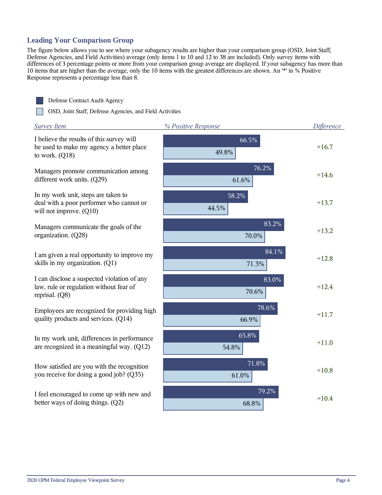## **Leading Your Comparison Group**

The figure below allows you to see where your subagency results are higher than your comparison group (OSD, Joint Staff, Defense Agencies, and Field Activities) average (only items 1 to 10 and 12 to 38 are included). Only survey items with differences of 3 percentage points or more from your comparison group average are displayed. If your subagency has more than 10 items that are higher than the average, only the 10 items with the greatest differences are shown. An '\*' in % Positive Response represents a percentage less than 8.



Defense Contract Audit Agency

OSD, Joint Staff, Defense Agencies, and Field Activities

| <b>Survey Item</b>                                                                                         | % Positive Response | <b>Difference</b> |
|------------------------------------------------------------------------------------------------------------|---------------------|-------------------|
| I believe the results of this survey will<br>be used to make my agency a better place<br>to work. $(Q18)$  | 66.5%<br>49.8%      | $+16.7$           |
| Managers promote communication among<br>different work units. (Q29)                                        | 76.2%<br>61.6%      | $+14.6$           |
| In my work unit, steps are taken to<br>deal with a poor performer who cannot or<br>will not improve. (Q10) | 58.2%<br>44.5%      | $+13.7$           |
| Managers communicate the goals of the<br>organization. (Q28)                                               | 83.2%<br>70.0%      | $+13.2$           |
| I am given a real opportunity to improve my<br>skills in my organization. (Q1)                             | 84.1%<br>71.3%      | $+12.8$           |
| I can disclose a suspected violation of any<br>law, rule or regulation without fear of<br>reprisal. (Q8)   | 83.0%<br>70.6%      | $+12.4$           |
| Employees are recognized for providing high<br>quality products and services. (Q14)                        | 78.6%<br>66.9%      | $+11.7$           |
| In my work unit, differences in performance<br>are recognized in a meaningful way. (Q12)                   | 65.8%<br>54.8%      | $+11.0$           |
| How satisfied are you with the recognition<br>you receive for doing a good job? (Q35)                      | 71.8%<br>61.0%      | $+10.8$           |
| I feel encouraged to come up with new and<br>better ways of doing things. (Q2)                             | 79.2%<br>68.8%      | $+10.4$           |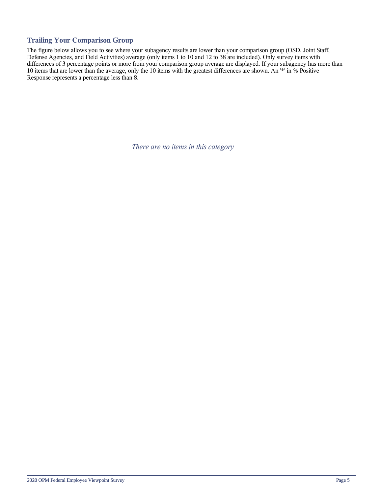## **Trailing Your Comparison Group**

The figure below allows you to see where your subagency results are lower than your comparison group (OSD, Joint Staff, Defense Agencies, and Field Activities) average (only items 1 to 10 and 12 to 38 are included). Only survey items with differences of 3 percentage points or more from your comparison group average are displayed. If your subagency has more than 10 items that are lower than the average, only the 10 items with the greatest differences are shown. An '\*' in % Positive Response represents a percentage less than 8.

*There are no items in this category*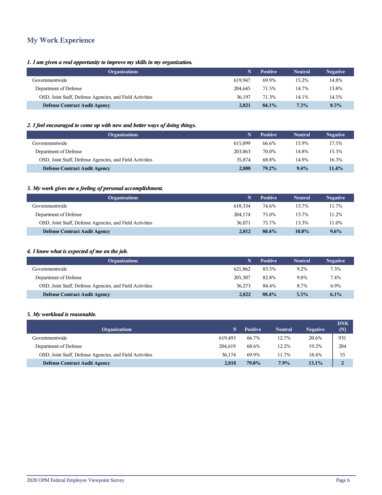# **My Work Experience**

## *1. I am given a real opportunity to improve my skills in my organization.*

| <b>Organizations</b>                                     |         | <b>Positive</b> | <b>Neutral</b> | <b>Negative</b> |
|----------------------------------------------------------|---------|-----------------|----------------|-----------------|
| Governmentwide                                           | 619.947 | 69.9%           | 15.2%          | 14.8%           |
| Department of Defense                                    | 204.645 | 71.5%           | 14.7%          | 13.8%           |
| OSD, Joint Staff, Defense Agencies, and Field Activities | 36.197  | 71.3%           | 14.1%          | 14.5%           |
| <b>Defense Contract Audit Agency</b>                     | 2.821   | 84.1%           | 7.3%           | 8.5%            |

## *2. I feel encouraged to come up with new and better ways of doing things.*

| <b>Organizations</b>                                     |         | <b>Positive</b> | <b>Neutral</b> | <b>Negative</b> |
|----------------------------------------------------------|---------|-----------------|----------------|-----------------|
| Governmentwide                                           | 615.099 | 66.6%           | 15.9%          | 17.5%           |
| Department of Defense                                    | 203,063 | 70.0%           | 14.8%          | 15.3%           |
| OSD, Joint Staff, Defense Agencies, and Field Activities | 35.874  | 68.8%           | 14.9%          | 16.3%           |
| <b>Defense Contract Audit Agency</b>                     | 2,808   | 79.2%           | $9.4\%$        | 11.4%           |

## *3. My work gives me a feeling of personal accomplishment.*

| <b>Organizations</b>                                     |         | <b>Positive</b> | <b>Neutral</b> | <b>Negative</b> |
|----------------------------------------------------------|---------|-----------------|----------------|-----------------|
| Governmentwide                                           | 618.334 | 74.6%           | 13.7%          | 11.7%           |
| Department of Defense                                    | 204.174 | 75.0%           | 13.7%          | 11.2%           |
| OSD, Joint Staff, Defense Agencies, and Field Activities | 36.071  | 75.7%           | 13.3%          | 11.0%           |
| <b>Defense Contract Audit Agency</b>                     | 2,812   | 80.4%           | $10.0\%$       | 9.6%            |

## *4. I know what is expected of me on the job.*

| <b>Organizations</b>                                     |         | <b>Positive</b> | <b>Neutral</b> | <b>Negative</b> |
|----------------------------------------------------------|---------|-----------------|----------------|-----------------|
| Governmentwide                                           | 621.862 | 83.5%           | 9.2%           | 7.3%            |
| Department of Defense                                    | 205,307 | 82.8%           | 9.8%           | 7.4%            |
| OSD, Joint Staff, Defense Agencies, and Field Activities | 36.273  | 84.4%           | 8.7%           | 6.9%            |
| <b>Defense Contract Audit Agency</b>                     | 2,822   | 88.4%           | $5.5\%$        | 6.1%            |

#### *5. My workload is reasonable.*

| <b>Organizations</b>                                     | N       | <b>Positive</b> | <b>Neutral</b> | <b>Negative</b> | <b>DNK</b><br>(N) |
|----------------------------------------------------------|---------|-----------------|----------------|-----------------|-------------------|
| Governmentwide                                           | 619.493 | 66.7%           | 12.7%          | 20.6%           | 931               |
| Department of Defense                                    | 204.619 | 68.6%           | 12.2%          | 19.2%           | 284               |
| OSD, Joint Staff, Defense Agencies, and Field Activities | 36.174  | 69.9%           | 11.7%          | 18.4%           | 55                |
| <b>Defense Contract Audit Agency</b>                     | 2,818   | 79.0%           | 7.9%           | 13.1%           | $\overline{2}$    |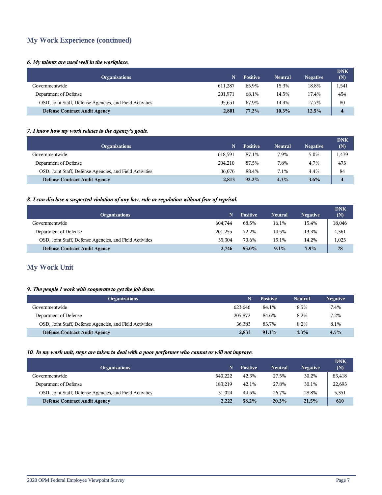# **My Work Experience (continued)**

## *6. My talents are used well in the workplace.*

| <b>Organizations</b>                                     | N       | <b>Positive</b> | <b>Neutral</b> | <b>Negative</b> | <b>DNK</b><br>(N) |
|----------------------------------------------------------|---------|-----------------|----------------|-----------------|-------------------|
| Governmentwide                                           | 611.287 | 65.9%           | 15.3%          | 18.8%           | 1,541             |
| Department of Defense                                    | 201,971 | 68.1%           | 14.5%          | 17.4%           | 454               |
| OSD, Joint Staff, Defense Agencies, and Field Activities | 35.651  | 67.9%           | 14.4%          | 17.7%           | 80                |
| <b>Defense Contract Audit Agency</b>                     | 2,801   | 77.2%           | $10.3\%$       | 12.5%           | 4                 |

## *7. I know how my work relates to the agency's goals.*

| <b>Organizations</b>                                     |         | <b>Positive</b> | <b>Neutral</b> | <b>Negative</b> | <b>DNK</b><br>(N)      |
|----------------------------------------------------------|---------|-----------------|----------------|-----------------|------------------------|
| Governmentwide                                           | 618,591 | 87.1%           | 7.9%           | 5.0%            | 1,479                  |
| Department of Defense                                    | 204.210 | 87.5%           | 7.8%           | 4.7%            | 473                    |
| OSD, Joint Staff, Defense Agencies, and Field Activities | 36.076  | 88.4%           | 7.1%           | 4.4%            | 84                     |
| <b>Defense Contract Audit Agency</b>                     | 2,813   | $92.2\%$        | 4.3%           | $3.6\%$         | $\boldsymbol{\Lambda}$ |

## *8. I can disclose a suspected violation of any law, rule or regulation without fear of reprisal.*

| <b>Organizations</b>                                     |         | <b>Positive</b> | <b>Neutral</b> | <b>Negative</b> | <b>DNK</b><br>(N) |
|----------------------------------------------------------|---------|-----------------|----------------|-----------------|-------------------|
| Governmentwide                                           | 604.744 | 68.5%           | 16.1%          | 15.4%           | 18,046            |
| Department of Defense                                    | 201,255 | 72.2%           | 14.5%          | 13.3%           | 4,361             |
| OSD, Joint Staff, Defense Agencies, and Field Activities | 35.304  | 70.6%           | 15.1%          | 14.2%           | 1,023             |
| <b>Defense Contract Audit Agency</b>                     | 2.746   | 83.0%           | 9.1%           | 7.9%            | 78                |

# **My Work Unit**

## *9. The people I work with cooperate to get the job done.*

| <b>Organizations</b>                                     |         | <b>Positive</b> | <b>Neutral</b> | <b>Negative</b> |
|----------------------------------------------------------|---------|-----------------|----------------|-----------------|
| Governmentwide                                           | 623.646 | 84.1%           | 8.5%           | 7.4%            |
| Department of Defense                                    | 205,872 | 84.6%           | 8.2%           | 7.2%            |
| OSD, Joint Staff, Defense Agencies, and Field Activities | 36.383  | 83.7%           | 8.2%           | 8.1%            |
| <b>Defense Contract Audit Agency</b>                     | 2,833   | $91.3\%$        | 4.3%           | 4.5%            |

#### *10. In my work unit, steps are taken to deal with a poor performer who cannot or will not improve.*

| <b>Organizations</b>                                     |         | <b>Positive</b> | <b>Neutral</b> | <b>Negative</b> | <b>DNK</b><br>(N) |
|----------------------------------------------------------|---------|-----------------|----------------|-----------------|-------------------|
| Governmentwide                                           | 540.222 | 42.3%           | 27.5%          | 30.2%           | 83,418            |
| Department of Defense                                    | 183.219 | 42.1%           | 27.8%          | 30.1%           | 22,693            |
| OSD, Joint Staff, Defense Agencies, and Field Activities | 31.024  | 44.5%           | 26.7%          | 28.8%           | 5,351             |
| <b>Defense Contract Audit Agency</b>                     | 2.222   | 58.2%           | 20.3%          | 21.5%           | 610               |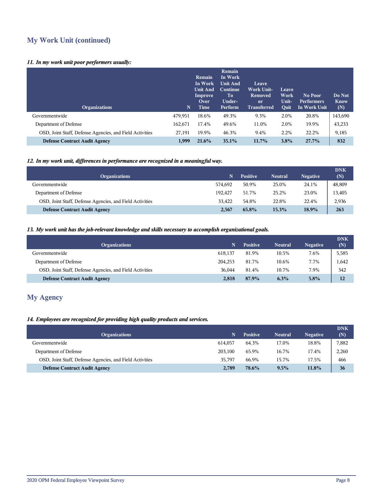# **My Work Unit (continued)**

## *11. In my work unit poor performers usually:*

| <b>Organizations</b>                                     | N       | <b>Remain</b><br>In Work<br><b>Unit And</b><br>Improve<br>Over<br>Time | Remain<br>In Work<br><b>Unit And</b><br>Continue<br>To<br>Under-<br>Perform | Leave<br><b>Work Unit-</b><br>Removed<br><sub>or</sub><br><b>Transferred</b> | Leave<br>Work<br>Unit-<br><b>Quit</b> | No Poor<br><b>Performers</b><br>In Work Unit | Do Not<br><b>Know</b><br>(N) |
|----------------------------------------------------------|---------|------------------------------------------------------------------------|-----------------------------------------------------------------------------|------------------------------------------------------------------------------|---------------------------------------|----------------------------------------------|------------------------------|
| Governmentwide                                           | 479,951 | 18.6%                                                                  | 49.3%                                                                       | 9.3%                                                                         | 2.0%                                  | 20.8%                                        | 143,690                      |
| Department of Defense                                    | 162,671 | 17.4%                                                                  | 49.6%                                                                       | 11.0%                                                                        | 2.0%                                  | 19.9%                                        | 43,233                       |
| OSD, Joint Staff, Defense Agencies, and Field Activities | 27,191  | 19.9%                                                                  | 46.3%                                                                       | 9.4%                                                                         | 2.2%                                  | 22.2%                                        | 9,185                        |
| <b>Defense Contract Audit Agency</b>                     | 1.999   | 21.6%                                                                  | $35.1\%$                                                                    | $11.7\%$                                                                     | $3.8\%$                               | 27.7%                                        | 832                          |

## *12. In my work unit, differences in performance are recognized in a meaningful way.*

| <b>Organizations</b>                                     |         | <b>Positive</b> | <b>Neutral</b> | <b>Negative</b> | <b>DNK</b><br>(N) |
|----------------------------------------------------------|---------|-----------------|----------------|-----------------|-------------------|
| Governmentwide                                           | 574.692 | 50.9%           | 25.0%          | 24.1%           | 48,809            |
| Department of Defense                                    | 192.427 | 51.7%           | 25.2%          | 23.0%           | 13,405            |
| OSD, Joint Staff, Defense Agencies, and Field Activities | 33.422  | 54.8%           | 22.8%          | 22.4%           | 2,936             |
| <b>Defense Contract Audit Agency</b>                     | 2,567   | 65.8%           | 15.3%          | 18.9%           | 263               |

## *13. My work unit has the job-relevant knowledge and skills necessary to accomplish organizational goals.*

| <b>Organizations</b>                                     | N       | <b>Positive</b> | <b>Neutral</b> | <b>Negative</b> | <b>DNK</b><br>(N) |
|----------------------------------------------------------|---------|-----------------|----------------|-----------------|-------------------|
| Governmentwide                                           | 618,137 | 81.9%           | 10.5%          | 7.6%            | 5,585             |
| Department of Defense                                    | 204.253 | 81.7%           | 10.6%          | 7.7%            | 1,642             |
| OSD, Joint Staff, Defense Agencies, and Field Activities | 36.044  | 81.4%           | 10.7%          | 7.9%            | 342               |
| <b>Defense Contract Audit Agency</b>                     | 2,818   | 87.9%           | 6.3%           | 5.8%            | 12                |

# **My Agency**

## *14. Employees are recognized for providing high quality products and services.*

|         | <b>Positive</b> | <b>Neutral</b> | <b>Negative</b> | <b>DNK</b><br>(N) |
|---------|-----------------|----------------|-----------------|-------------------|
| 614.057 | 64.3%           | 17.0%          | 18.8%           | 7,882             |
| 203.100 | 65.9%           | 16.7%          | 17.4%           | 2,260             |
| 35.797  | 66.9%           | 15.7%          | 17.5%           | 466               |
| 2.789   | 78.6%           | 9.5%           | 11.8%           | 36                |
|         |                 |                |                 |                   |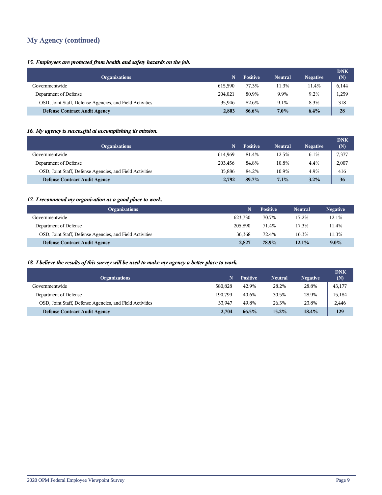# **My Agency (continued)**

## *15. Employees are protected from health and safety hazards on the job.*

| <b>Organizations</b>                                     | N       | <b>Positive</b> | <b>Neutral</b> | <b>Negative</b> | <b>DNK</b><br>(N) |
|----------------------------------------------------------|---------|-----------------|----------------|-----------------|-------------------|
| Governmentwide                                           | 615.590 | 77.3%           | 11.3%          | 11.4%           | 6,144             |
| Department of Defense                                    | 204.021 | 80.9%           | 9.9%           | 9.2%            | 1,259             |
| OSD, Joint Staff, Defense Agencies, and Field Activities | 35.946  | 82.6%           | 9.1%           | 8.3%            | 318               |
| <b>Defense Contract Audit Agency</b>                     | 2,803   | 86.6%           | $7.0\%$        | 6.4%            | 28                |

## *16. My agency is successful at accomplishing its mission.*

| <b>Organizations</b>                                     |         | Positive | <b>Neutral</b> | <b>Negative</b> | <b>DNK</b><br>(N) |
|----------------------------------------------------------|---------|----------|----------------|-----------------|-------------------|
| Governmentwide                                           | 614.969 | 81.4%    | 12.5%          | 6.1%            | 7,377             |
| Department of Defense                                    | 203,456 | 84.8%    | 10.8%          | 4.4%            | 2,007             |
| OSD, Joint Staff, Defense Agencies, and Field Activities | 35,886  | 84.2%    | 10.9%          | 4.9%            | 416               |
| <b>Defense Contract Audit Agency</b>                     | 2,792   | 89.7%    | 7.1%           | 3.2%            | 36                |

## *17. I recommend my organization as a good place to work.*

| <b>Organizations</b>                                     |         | <b>Positive</b> | <b>Neutral</b> | <b>Negative</b> |
|----------------------------------------------------------|---------|-----------------|----------------|-----------------|
| Governmentwide                                           | 623.730 | 70.7%           | 17.2%          | 12.1%           |
| Department of Defense                                    | 205,890 | 71.4%           | 17.3%          | 11.4%           |
| OSD, Joint Staff, Defense Agencies, and Field Activities | 36,368  | 72.4%           | 16.3%          | 11.3%           |
| <b>Defense Contract Audit Agency</b>                     | 2,827   | 78.9%           | 12.1%          | $9.0\%$         |

## *18. I believe the results of this survey will be used to make my agency a better place to work.*

| <b>Organizations</b>                                     |         | <b>Positive</b> | <b>Neutral</b> | <b>Negative</b> | <b>DNK</b><br>(N) |
|----------------------------------------------------------|---------|-----------------|----------------|-----------------|-------------------|
| Governmentwide                                           | 580,828 | 42.9%           | 28.2%          | 28.8%           | 43,177            |
| Department of Defense                                    | 190.799 | 40.6%           | 30.5%          | 28.9%           | 15,184            |
| OSD, Joint Staff, Defense Agencies, and Field Activities | 33.947  | 49.8%           | 26.3%          | 23.8%           | 2,446             |
| <b>Defense Contract Audit Agency</b>                     | 2.704   | 66.5%           | 15.2%          | 18.4%           | 129               |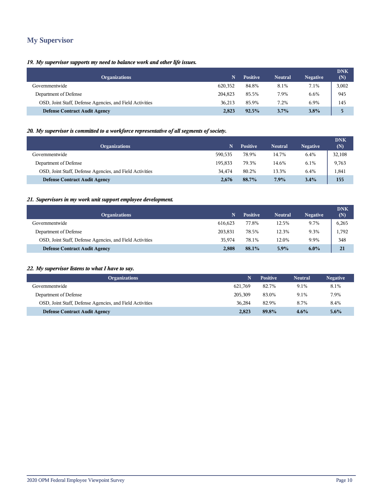# **My Supervisor**

## *19. My supervisor supports my need to balance work and other life issues.*

| <b>Organizations</b>                                     | N       | <b>Positive</b> | <b>Neutral</b> | <b>Negative</b> | <b>DNK</b><br>(N) |
|----------------------------------------------------------|---------|-----------------|----------------|-----------------|-------------------|
| Governmentwide                                           | 620,352 | 84.8%           | 8.1%           | 7.1%            | 3,002             |
| Department of Defense                                    | 204.823 | 85.5%           | 7.9%           | 6.6%            | 945               |
| OSD, Joint Staff, Defense Agencies, and Field Activities | 36.213  | 85.9%           | 7.2%           | 6.9%            | 145               |
| <b>Defense Contract Audit Agency</b>                     | 2,823   | 92.5%           | 3.7%           | 3.8%            | 5                 |

## *20. My supervisor is committed to a workforce representative of all segments of society.*

| <b>Organizations</b>                                     |         | <b>Positive</b> | <b>Neutral</b> | <b>Negative</b> | <b>DNK</b><br>(N) |
|----------------------------------------------------------|---------|-----------------|----------------|-----------------|-------------------|
| Governmentwide                                           | 590.535 | 78.9%           | 14.7%          | 6.4%            | 32,108            |
| Department of Defense                                    | 195.833 | 79.3%           | 14.6%          | 6.1%            | 9,763             |
| OSD, Joint Staff, Defense Agencies, and Field Activities | 34.474  | 80.2%           | 13.3%          | 6.4%            | 1,841             |
| <b>Defense Contract Audit Agency</b>                     | 2.676   | 88.7%           | 7.9%           | 3.4%            | 155               |

## *21. Supervisors in my work unit support employee development.*

| <b>Organizations</b>                                     |         | <b>Positive</b> | <b>Neutral</b> | <b>Negative</b> | <b>DNK</b><br>(N) |
|----------------------------------------------------------|---------|-----------------|----------------|-----------------|-------------------|
| Governmentwide                                           | 616.623 | 77.8%           | 12.5%          | 9.7%            | 6,265             |
| Department of Defense                                    | 203,831 | 78.5%           | 12.3%          | 9.3%            | 1,792             |
| OSD, Joint Staff, Defense Agencies, and Field Activities | 35,974  | 78.1%           | 12.0%          | 9.9%            | 348               |
| <b>Defense Contract Audit Agency</b>                     | 2,808   | 88.1%           | $5.9\%$        | $6.0\%$         | 21                |

#### *22. My supervisor listens to what I have to say.*

| <b>Organizations</b>                                     |         | <b>Positive</b> | <b>Neutral</b> | <b>Negative</b> |
|----------------------------------------------------------|---------|-----------------|----------------|-----------------|
| Governmentwide                                           | 621.769 | 82.7%           | 9.1%           | 8.1%            |
| Department of Defense                                    | 205,309 | 83.0%           | 9.1%           | 7.9%            |
| OSD, Joint Staff, Defense Agencies, and Field Activities | 36.284  | 82.9%           | 8.7%           | 8.4%            |
| <b>Defense Contract Audit Agency</b>                     | 2,823   | 89.8%           | 4.6%           | $5.6\%$         |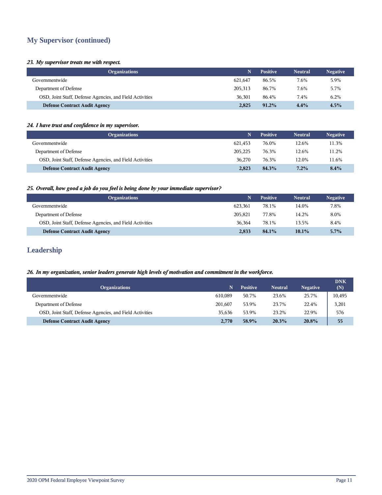# **My Supervisor (continued)**

## *23. My supervisor treats me with respect.*

| <b>Organizations</b>                                     |         | <b>Positive</b> | <b>Neutral</b> | <b>Negative</b> |
|----------------------------------------------------------|---------|-----------------|----------------|-----------------|
| Governmentwide                                           | 621.647 | 86.5%           | 7.6%           | 5.9%            |
| Department of Defense                                    | 205,313 | 86.7%           | 7.6%           | 5.7%            |
| OSD, Joint Staff, Defense Agencies, and Field Activities | 36,301  | 86.4%           | 7.4%           | 6.2%            |
| <b>Defense Contract Audit Agency</b>                     | 2,825   | $91.2\%$        | 4.4%           | 4.5%            |

## *24. I have trust and confidence in my supervisor.*

| <b>Organizations</b>                                     |         | <b>Positive</b> | <b>Neutral</b> | <b>Negative</b> |
|----------------------------------------------------------|---------|-----------------|----------------|-----------------|
| Governmentwide                                           | 621.453 | 76.0%           | 12.6%          | 11.3%           |
| Department of Defense                                    | 205,225 | 76.3%           | 12.6%          | 11.2%           |
| OSD, Joint Staff, Defense Agencies, and Field Activities | 36.270  | 76.3%           | 12.0%          | 11.6%           |
| <b>Defense Contract Audit Agency</b>                     | 2.823   | 84.3%           | $7.2\%$        | $8.4\%$         |

#### *25. Overall, how good a job do you feel is being done by your immediate supervisor?*

| <b>Organizations</b>                                     |         | <b>Positive</b> | <b>Neutral</b> | <b>Negative</b> |
|----------------------------------------------------------|---------|-----------------|----------------|-----------------|
| Governmentwide                                           | 623.361 | 78.1%           | 14.0%          | 7.8%            |
| Department of Defense                                    | 205.821 | 77.8%           | 14.2%          | 8.0%            |
| OSD, Joint Staff, Defense Agencies, and Field Activities | 36.364  | 78.1%           | 13.5%          | 8.4%            |
| <b>Defense Contract Audit Agency</b>                     | 2,833   | 84.1%           | $10.1\%$       | $5.7\%$         |

# **Leadership**

## *26. In my organization, senior leaders generate high levels of motivation and commitment in the workforce.*

| <b>Organizations</b>                                     |         | <b>Positive</b> | <b>Neutral</b> | <b>Negative</b> | <b>DNK</b><br>(N) |
|----------------------------------------------------------|---------|-----------------|----------------|-----------------|-------------------|
| Governmentwide                                           | 610.089 | 50.7%           | 23.6%          | 25.7%           | 10,495            |
| Department of Defense                                    | 201.607 | 53.9%           | 23.7%          | 22.4%           | 3,201             |
| OSD, Joint Staff, Defense Agencies, and Field Activities | 35.636  | 53.9%           | 23.2%          | 22.9%           | 576               |
| <b>Defense Contract Audit Agency</b>                     | 2.770   | 58.9%           | 20.3%          | 20.8%           | 55                |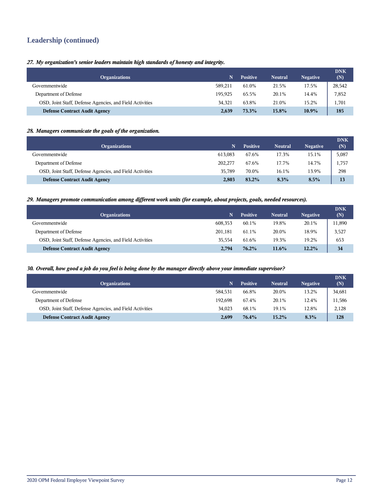# **Leadership (continued)**

## *27. My organization's senior leaders maintain high standards of honesty and integrity.*

| <b>Organizations</b>                                     | N       | <b>Positive</b> | <b>Neutral</b> | <b>Negative</b> | <b>DNK</b><br>(N) |
|----------------------------------------------------------|---------|-----------------|----------------|-----------------|-------------------|
| Governmentwide                                           | 589.211 | 61.0%           | 21.5%          | 17.5%           | 28,542            |
| Department of Defense                                    | 195.925 | 65.5%           | 20.1%          | 14.4%           | 7,852             |
| OSD, Joint Staff, Defense Agencies, and Field Activities | 34.321  | 63.8%           | 21.0%          | 15.2%           | 1,701             |
| <b>Defense Contract Audit Agency</b>                     | 2.639   | 73.3%           | $15.8\%$       | $10.9\%$        | 185               |

## *28. Managers communicate the goals of the organization.*

| <b>Organizations</b>                                     |         | <b>Positive</b> | <b>Neutral</b> | <b>Negative</b> | <b>DNK</b><br>(N) |
|----------------------------------------------------------|---------|-----------------|----------------|-----------------|-------------------|
| Governmentwide                                           | 613.083 | 67.6%           | 17.3%          | 15.1%           | 5,087             |
| Department of Defense                                    | 202,277 | 67.6%           | 17.7%          | 14.7%           | 1,757             |
| OSD, Joint Staff, Defense Agencies, and Field Activities | 35.789  | 70.0%           | 16.1%          | 13.9%           | 298               |
| <b>Defense Contract Audit Agency</b>                     | 2,803   | 83.2%           | 8.3%           | 8.5%            | 13                |

#### *29. Managers promote communication among different work units (for example, about projects, goals, needed resources).*

| <b>Organizations</b>                                     |         | <b>Positive</b> | <b>Neutral</b> | <b>Negative</b> | <b>DNK</b><br>(N) |
|----------------------------------------------------------|---------|-----------------|----------------|-----------------|-------------------|
| Governmentwide                                           | 608.353 | 60.1%           | 19.8%          | 20.1%           | 11,890            |
| Department of Defense                                    | 201,181 | 61.1%           | 20.0%          | 18.9%           | 3,527             |
| OSD, Joint Staff, Defense Agencies, and Field Activities | 35.554  | 61.6%           | 19.3%          | 19.2%           | 653               |
| <b>Defense Contract Audit Agency</b>                     | 2.794   | 76.2%           | 11.6%          | 12.2%           | 34                |

#### *30. Overall, how good a job do you feel is being done by the manager directly above your immediate supervisor?*

| <b>Organizations</b>                                     |         | <b>Positive</b> | <b>Neutral</b> | <b>Negative</b> | <b>DNK</b><br>(N) |
|----------------------------------------------------------|---------|-----------------|----------------|-----------------|-------------------|
| Governmentwide                                           | 584.531 | 66.8%           | 20.0%          | 13.2%           | 34,681            |
| Department of Defense                                    | 192.698 | 67.4%           | 20.1%          | 12.4%           | 11,586            |
| OSD, Joint Staff, Defense Agencies, and Field Activities | 34.023  | 68.1%           | 19.1%          | 12.8%           | 2,128             |
| <b>Defense Contract Audit Agency</b>                     | 2,699   | 76.4%           | 15.2%          | 8.3%            | 128               |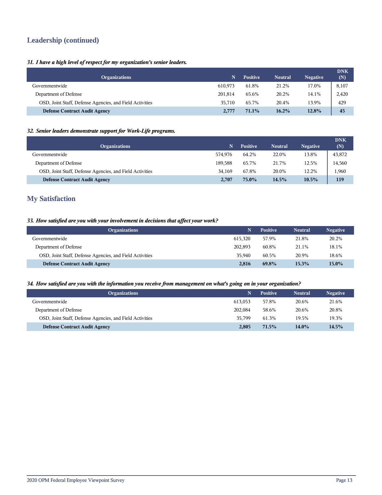# **Leadership (continued)**

## *31. I have a high level of respect for my organization's senior leaders.*

| <b>Organizations</b>                                     | N       | <b>Positive</b> | <b>Neutral</b> | <b>Negative</b> | <b>DNK</b><br>(N) |
|----------------------------------------------------------|---------|-----------------|----------------|-----------------|-------------------|
| Governmentwide                                           | 610.973 | 61.8%           | 21.2%          | 17.0%           | 8,107             |
| Department of Defense                                    | 201,814 | 65.6%           | 20.2%          | 14.1%           | 2,420             |
| OSD, Joint Staff, Defense Agencies, and Field Activities | 35,710  | 65.7%           | 20.4%          | 13.9%           | 429               |
| <b>Defense Contract Audit Agency</b>                     | 2,777   | 71.1%           | $16.2\%$       | 12.8%           | 45                |

## *32. Senior leaders demonstrate support for Work-Life programs.*

| <b>Organizations</b>                                     |         | <b>Positive</b> | <b>Neutral</b> | <b>Negative</b> | <b>DNK</b><br>(N) |
|----------------------------------------------------------|---------|-----------------|----------------|-----------------|-------------------|
| Governmentwide                                           | 574.976 | 64.2%           | 22.0%          | 13.8%           | 43,872            |
| Department of Defense                                    | 189.588 | 65.7%           | 21.7%          | 12.5%           | 14,560            |
| OSD, Joint Staff, Defense Agencies, and Field Activities | 34.169  | 67.8%           | 20.0%          | 12.2%           | 1,960             |
| <b>Defense Contract Audit Agency</b>                     | 2,707   | 75.0%           | 14.5%          | $10.5\%$        | 119               |

## **My Satisfaction**

## *33. How satisfied are you with your involvement in decisions that affect your work?*

| <b>Organizations</b>                                     |         | <b>Positive</b> | <b>Neutral</b> | <b>Negative</b> |
|----------------------------------------------------------|---------|-----------------|----------------|-----------------|
| Governmentwide                                           | 615.320 | 57.9%           | 21.8%          | 20.2%           |
| Department of Defense                                    | 202,893 | 60.8%           | 21.1%          | 18.1%           |
| OSD, Joint Staff, Defense Agencies, and Field Activities | 35,940  | 60.5%           | 20.9%          | 18.6%           |
| <b>Defense Contract Audit Agency</b>                     | 2,816   | 69.8%           | 15.3%          | $15.0\%$        |

#### *34. How satisfied are you with the information you receive from management on what's going on in your organization?*

| <b>Organizations</b>                                     |         | <b>Positive</b> | <b>Neutral</b> | <b>Negative</b> |
|----------------------------------------------------------|---------|-----------------|----------------|-----------------|
| Governmentwide                                           | 613.053 | 57.8%           | 20.6%          | 21.6%           |
| Department of Defense                                    | 202,084 | 58.6%           | 20.6%          | 20.8%           |
| OSD, Joint Staff, Defense Agencies, and Field Activities | 35.799  | 61.3%           | 19.5%          | 19.3%           |
| <b>Defense Contract Audit Agency</b>                     | 2,805   | 71.5%           | $14.0\%$       | 14.5%           |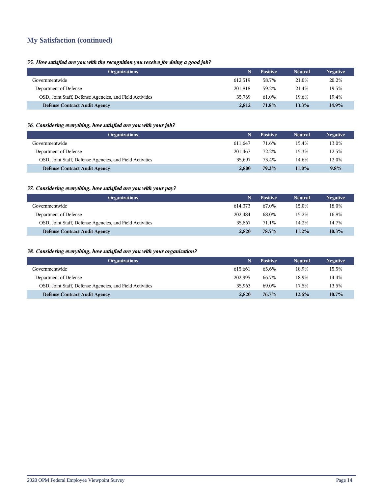# **My Satisfaction (continued)**

## *35. How satisfied are you with the recognition you receive for doing a good job?*

| <b>Organizations</b>                                     |         | <b>Positive</b> | <b>Neutral</b> | <b>Negative</b> |
|----------------------------------------------------------|---------|-----------------|----------------|-----------------|
| Governmentwide                                           | 612.519 | 58.7%           | 21.0%          | 20.2%           |
| Department of Defense                                    | 201.818 | 59.2%           | 21.4%          | 19.5%           |
| OSD, Joint Staff, Defense Agencies, and Field Activities | 35.769  | 61.0%           | 19.6%          | 19.4%           |
| <b>Defense Contract Audit Agency</b>                     | 2.812   | 71.8%           | 13.3%          | 14.9%           |

## *36. Considering everything, how satisfied are you with your job?*

| <b>Organizations</b>                                     |         | <b>Positive</b> | <b>Neutral</b> | <b>Negative</b> |
|----------------------------------------------------------|---------|-----------------|----------------|-----------------|
| Governmentwide                                           | 611.647 | 71.6%           | 15.4%          | 13.0%           |
| Department of Defense                                    | 201.467 | 72.2%           | 15.3%          | 12.5%           |
| OSD, Joint Staff, Defense Agencies, and Field Activities | 35.697  | 73.4%           | 14.6%          | 12.0%           |
| <b>Defense Contract Audit Agency</b>                     | 2,800   | 79.2%           | $11.0\%$       | 9.8%            |

## *37. Considering everything, how satisfied are you with your pay?*

| <b>Organizations</b>                                     |         | <b>Positive</b> | <b>Neutral</b> | <b>Negative</b> |
|----------------------------------------------------------|---------|-----------------|----------------|-----------------|
| Governmentwide                                           | 614.373 | 67.0%           | 15.0%          | 18.0%           |
| Department of Defense                                    | 202.484 | 68.0%           | 15.2%          | 16.8%           |
| OSD, Joint Staff, Defense Agencies, and Field Activities | 35,867  | 71.1%           | 14.2%          | 14.7%           |
| <b>Defense Contract Audit Agency</b>                     | 2,820   | 78.5%           | $11.2\%$       | 10.3%           |

## *38. Considering everything, how satisfied are you with your organization?*

| <b>Organizations</b>                                     |         | <b>Positive</b> | <b>Neutral</b> | <b>Negative</b> |
|----------------------------------------------------------|---------|-----------------|----------------|-----------------|
| Governmentwide                                           | 615.661 | 65.6%           | 18.9%          | 15.5%           |
| Department of Defense                                    | 202.995 | 66.7%           | 18.9%          | 14.4%           |
| OSD, Joint Staff, Defense Agencies, and Field Activities | 35,963  | 69.0%           | 17.5%          | 13.5%           |
| <b>Defense Contract Audit Agency</b>                     | 2.820   | 76.7%           | $12.6\%$       | $10.7\%$        |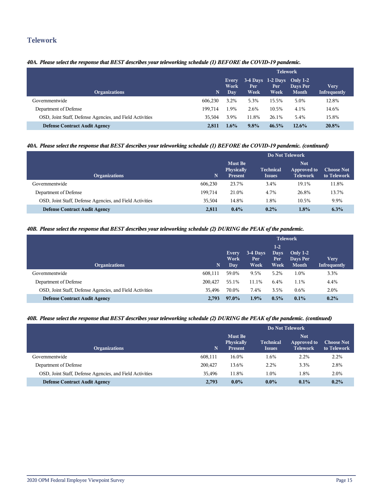## **Telework**

## *40A. Please select the response that BEST describes your teleworking schedule (1) BEFORE the COVID-19 pandemic.*

|                                                          |         | <b>Telework</b>             |             |                                                 |                          |                             |  |
|----------------------------------------------------------|---------|-----------------------------|-------------|-------------------------------------------------|--------------------------|-----------------------------|--|
| <b>Organizations</b>                                     | N       | Every<br>Work<br><b>Day</b> | Per<br>Week | $3-4$ Days $1-2$ Days Only $1-2$<br>Per<br>Week | Days Per<br><b>Month</b> | <b>Very</b><br>Infrequently |  |
| Governmentwide                                           | 606.230 | 3.2%                        | 5.3%        | 15.5%                                           | 5.0%                     | 12.8%                       |  |
| Department of Defense                                    | 199.714 | 1.9%                        | 2.6%        | 10.5%                                           | 4.1%                     | 14.6%                       |  |
| OSD, Joint Staff, Defense Agencies, and Field Activities | 35.504  | 3.9%                        | 11.8%       | 26.1%                                           | 5.4%                     | 15.8%                       |  |
| <b>Defense Contract Audit Agency</b>                     | 2.811   | $1.6\%$                     | $9.8\%$     | $46.5\%$                                        | $12.6\%$                 | 20.8%                       |  |

## *40A. Please select the response that BEST describes your teleworking schedule (1) BEFORE the COVID-19 pandemic. (continued)*

|                                                          |         | Do Not Telework                                       |                                   |                                        |                                  |  |
|----------------------------------------------------------|---------|-------------------------------------------------------|-----------------------------------|----------------------------------------|----------------------------------|--|
| <b>Organizations</b>                                     | N       | <b>Must Be</b><br><b>Physically</b><br><b>Present</b> | <b>Technical</b><br><i>Issues</i> | Not.<br>Approved to<br><b>Telework</b> | <b>Choose Not</b><br>to Telework |  |
| Governmentwide                                           | 606,230 | 23.7%                                                 | 3.4%                              | 19.1%                                  | 11.8%                            |  |
| Department of Defense                                    | 199.714 | 21.0%                                                 | 4.7%                              | 26.8%                                  | 13.7%                            |  |
| OSD, Joint Staff, Defense Agencies, and Field Activities | 35.504  | 14.8%                                                 | 1.8%                              | 10.5%                                  | 9.9%                             |  |
| <b>Defense Contract Audit Agency</b>                     | 2,811   | $0.4\%$                                               | $0.2\%$                           | 1.8%                                   | $6.3\%$                          |  |

#### *40B. Please select the response that BEST describes your teleworking schedule (2) DURING the PEAK of the pandemic.*

|                                                          |         | <b>Telework</b>       |                         |                                      |                                        |                                    |  |
|----------------------------------------------------------|---------|-----------------------|-------------------------|--------------------------------------|----------------------------------------|------------------------------------|--|
| <b>Organizations</b>                                     | N       | Every<br>Work<br>Day. | 3-4 Days<br>Per<br>Week | $1-2$<br><b>Days</b><br>Per:<br>Week | Only $1-2$<br>Days Per<br><b>Month</b> | <b>Very</b><br><b>Infrequently</b> |  |
| Governmentwide                                           | 608,111 | 59.0%                 | 9.5%                    | 5.2%                                 | 1.0%                                   | 3.3%                               |  |
| Department of Defense                                    | 200,427 | 55.1%                 | 11.1%                   | 6.4%                                 | 1.1%                                   | 4.4%                               |  |
| OSD, Joint Staff, Defense Agencies, and Field Activities | 35.496  | 70.0%                 | 7.4%                    | 3.5%                                 | 0.6%                                   | 2.0%                               |  |
| <b>Defense Contract Audit Agency</b>                     | 2.793   | 97.0%                 | 1.9%                    | $0.5\%$                              | 0.1%                                   | $0.2\%$                            |  |

#### *40B. Please select the response that BEST describes your teleworking schedule (2) DURING the PEAK of the pandemic. (continued)*

|                                                          |         | Do Not Telework                                       |                                   |                                              |                                  |  |  |
|----------------------------------------------------------|---------|-------------------------------------------------------|-----------------------------------|----------------------------------------------|----------------------------------|--|--|
| <b>Organizations</b>                                     | N.      | <b>Must Be</b><br><b>Physically</b><br><b>Present</b> | <b>Technical</b><br><b>Issues</b> | <b>Not</b><br>Approved to<br><b>Telework</b> | <b>Choose Not</b><br>to Telework |  |  |
| Governmentwide                                           | 608,111 | 16.0%                                                 | 1.6%                              | 2.2%                                         | 2.2%                             |  |  |
| Department of Defense                                    | 200,427 | 13.6%                                                 | 2.2%                              | 3.3%                                         | 2.8%                             |  |  |
| OSD, Joint Staff, Defense Agencies, and Field Activities | 35.496  | 11.8%                                                 | 1.0%                              | 1.8%                                         | 2.0%                             |  |  |
| <b>Defense Contract Audit Agency</b>                     | 2.793   | $0.0\%$                                               | $0.0\%$                           | $0.1\%$                                      | 0.2%                             |  |  |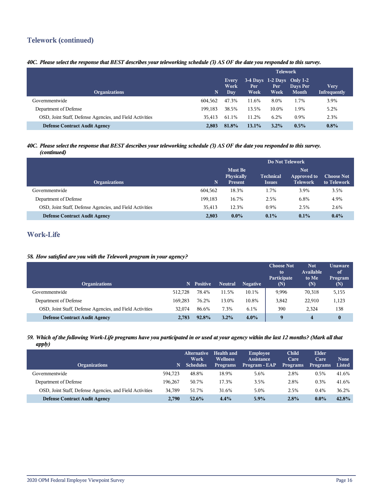# **Telework (continued)**

## *40C. Please select the response that BEST describes your teleworking schedule (3) AS OF the date you responded to this survey.*

|                                                          |         | <b>Telework</b>      |             |                                                 |                          |                             |
|----------------------------------------------------------|---------|----------------------|-------------|-------------------------------------------------|--------------------------|-----------------------------|
| <b>Organizations</b>                                     | N       | Every<br>Work<br>Day | Per<br>Week | $3-4$ Days $1-2$ Days Only $1-2$<br>Per<br>Week | Days Per<br><b>Month</b> | <b>Very</b><br>Infrequently |
| Governmentwide                                           | 604.562 | 47.3%                | 11.6%       | 8.0%                                            | 1.7%                     | 3.9%                        |
| Department of Defense                                    | 199.183 | 38.5%                | 13.5%       | 10.0%                                           | 1.9%                     | 5.2%                        |
| OSD, Joint Staff, Defense Agencies, and Field Activities | 35.413  | 61.1%                | 11.2%       | 6.2%                                            | 0.9%                     | 2.3%                        |
| <b>Defense Contract Audit Agency</b>                     | 2.803   | 81.8%                | $13.1\%$    | $3.2\%$                                         | $0.5\%$                  | $0.8\%$                     |

#### *40C. Please select the response that BEST describes your teleworking schedule (3) AS OF the date you responded to this survey. (continued)*

|                                                          |         | Do Not Telework                     |                  |                           |                   |  |
|----------------------------------------------------------|---------|-------------------------------------|------------------|---------------------------|-------------------|--|
|                                                          |         | <b>Must Be</b><br><b>Physically</b> | <b>Technical</b> | <b>Not</b><br>Approved to | <b>Choose Not</b> |  |
| <b>Organizations</b>                                     | N       | <b>Present</b>                      | <b>Issues</b>    | <b>Telework</b>           | to Telework       |  |
| Governmentwide                                           | 604.562 | 18.3%                               | 1.7%             | 3.9%                      | 3.5%              |  |
| Department of Defense                                    | 199.183 | 16.7%                               | 2.5%             | 6.8%                      | 4.9%              |  |
| OSD, Joint Staff, Defense Agencies, and Field Activities | 35.413  | 12.3%                               | $0.9\%$          | 2.5%                      | 2.6%              |  |
| <b>Defense Contract Audit Agency</b>                     | 2,803   | $0.0\%$                             | $0.1\%$          | $0.1\%$                   | $0.4\%$           |  |

# **Work-Life**

#### *58. How satisfied are you with the Telework program in your agency?*

| <b>Organizations</b>                                     | N.      | <b>Positive</b> | <b>Neutral</b> | <b>Negative</b> | <b>Choose Not</b><br>to<br>Participate<br>(N) | <b>Not</b><br>Available<br>to Me<br>(N) | <b>Unaware</b><br>of<br>Program<br>(N) |
|----------------------------------------------------------|---------|-----------------|----------------|-----------------|-----------------------------------------------|-----------------------------------------|----------------------------------------|
| Governmentwide                                           | 512.728 | 78.4%           | 11.5%          | 10.1%           | 9,996                                         | 70,318                                  | 5,155                                  |
| Department of Defense                                    | 169.283 | 76.2%           | 13.0%          | 10.8%           | 3,842                                         | 22,910                                  | 1,123                                  |
| OSD, Joint Staff, Defense Agencies, and Field Activities | 32.074  | 86.6%           | 7.3%           | 6.1%            | 390                                           | 2.324                                   | 138                                    |
| <b>Defense Contract Audit Agency</b>                     | 2.783   | 92.8%           | 3.2%           | $4.0\%$         | 9                                             | 4                                       | $\bf{0}$                               |

## *59. Which of the following Work-Life programs have you participated in or used at your agency within the last 12 months? (Mark all that apply)*

| <b>Organizations</b>                                     | N.      | <b>Alternative</b><br>Work<br><b>Schedules</b> | <b>Health and</b><br><b>Wellness</b><br><b>Programs</b> | <b>Employee</b><br><b>Assistance</b><br>Program - EAP | <b>Child</b><br>Care<br><b>Programs</b> | Elder<br>Care<br><b>Programs</b> | <b>None</b><br>Listed |
|----------------------------------------------------------|---------|------------------------------------------------|---------------------------------------------------------|-------------------------------------------------------|-----------------------------------------|----------------------------------|-----------------------|
| Governmentwide                                           | 594.723 | 48.8%                                          | 18.9%                                                   | 5.6%                                                  | 2.8%                                    | 0.5%                             | 41.6%                 |
| Department of Defense                                    | 196.267 | 50.7%                                          | 17.3%                                                   | 3.5%                                                  | 2.8%                                    | 0.3%                             | 41.6%                 |
| OSD, Joint Staff, Defense Agencies, and Field Activities | 34.789  | 51.7%                                          | 31.6%                                                   | 5.0%                                                  | 2.5%                                    | 0.4%                             | 36.2%                 |
| <b>Defense Contract Audit Agency</b>                     | 2.790   | 52.6%                                          | 4.4%                                                    | $5.9\%$                                               | 2.8%                                    | $0.0\%$                          | 42.8%                 |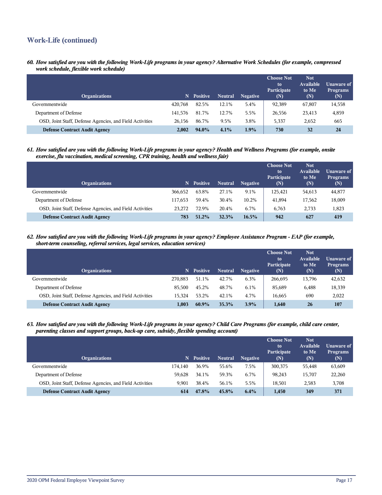# **Work-Life (continued)**

*60. How satisfied are you with the following Work-Life programs in your agency? Alternative Work Schedules (for example, compressed work schedule, flexible work schedule)*

| <b>Organizations</b>                                     | N       | <b>Positive</b> | <b>Neutral</b> | <b>Negative</b> | <b>Choose Not</b><br>to<br>Participate<br>(N) | <b>Not</b><br>Available<br>to Me<br>(N) | Unaware of<br><b>Programs</b><br>(N) |
|----------------------------------------------------------|---------|-----------------|----------------|-----------------|-----------------------------------------------|-----------------------------------------|--------------------------------------|
| Governmentwide                                           | 420.768 | 82.5%           | 12.1%          | 5.4%            | 92,389                                        | 67,807                                  | 14,558                               |
| Department of Defense                                    | 141.576 | 81.7%           | 12.7%          | 5.5%            | 26,556                                        | 23,413                                  | 4,859                                |
| OSD, Joint Staff, Defense Agencies, and Field Activities | 26.156  | 86.7%           | 9.5%           | 3.8%            | 5,337                                         | 2,652                                   | 665                                  |
| <b>Defense Contract Audit Agency</b>                     | 2.002   | 94.0%           | 4.1%           | 1.9%            | 730                                           | 32                                      | 24                                   |

*61. How satisfied are you with the following Work-Life programs in your agency? Health and Wellness Programs (for example, onsite exercise, flu vaccination, medical screening, CPR training, health and wellness fair)*

| <b>Organizations</b>                                     | N       | <b>Positive</b> | <b>Neutral</b> | <b>Negative</b> | <b>Choose Not</b><br>to<br>Participate<br>(N) | <b>Not</b><br><b>Available</b><br>to Me<br>(N) | Unaware of<br><b>Programs</b><br>(N) |
|----------------------------------------------------------|---------|-----------------|----------------|-----------------|-----------------------------------------------|------------------------------------------------|--------------------------------------|
| Governmentwide                                           | 366.652 | 63.8%           | 27.1%          | 9.1%            | 125,421                                       | 54,613                                         | 44,877                               |
| Department of Defense                                    | 117.653 | 59.4%           | 30.4%          | 10.2%           | 41,894                                        | 17,562                                         | 18,009                               |
| OSD, Joint Staff, Defense Agencies, and Field Activities | 23,272  | 72.9%           | 20.4%          | 6.7%            | 6.763                                         | 2,733                                          | 1,823                                |
| <b>Defense Contract Audit Agency</b>                     | 783     | 51.2%           | 32.3%          | $16.5\%$        | 942                                           | 627                                            | 419                                  |

*62. How satisfied are you with the following Work-Life programs in your agency? Employee Assistance Program - EAP (for example, short-term counseling, referral services, legal services, education services)*

| <b>Organizations</b>                                     | N       | <b>Positive</b> | <b>Neutral</b> | <b>Negative</b> | <b>Choose Not</b><br>to<br>Participate<br>(N) | <b>Not</b><br>Available<br>to Me<br>(N) | Unaware of<br><b>Programs</b><br>(N) |
|----------------------------------------------------------|---------|-----------------|----------------|-----------------|-----------------------------------------------|-----------------------------------------|--------------------------------------|
| Governmentwide                                           | 270,883 | 51.1%           | 42.7%          | 6.3%            | 266.695                                       | 13.796                                  | 42,632                               |
| Department of Defense                                    | 85,500  | 45.2%           | 48.7%          | 6.1%            | 85,689                                        | 6,488                                   | 18,339                               |
| OSD, Joint Staff, Defense Agencies, and Field Activities | 15.324  | 53.2%           | 42.1%          | 4.7%            | 16.665                                        | 690                                     | 2,022                                |
| <b>Defense Contract Audit Agency</b>                     | 1.003   | $60.9\%$        | 35.3%          | 3.9%            | 1.640                                         | 26                                      | 107                                  |

*63. How satisfied are you with the following Work-Life programs in your agency? Child Care Programs (for example, child care center, parenting classes and support groups, back-up care, subsidy, flexible spending account)*

| <b>Organizations</b>                                     | N       | <b>Positive</b> | <b>Neutral</b> | <b>Negative</b> | <b>Choose Not</b><br>to<br>Participate<br>(N) | <b>Not</b><br>Available<br>to Me<br>(N) | Unaware of<br><b>Programs</b><br>(N) |
|----------------------------------------------------------|---------|-----------------|----------------|-----------------|-----------------------------------------------|-----------------------------------------|--------------------------------------|
| Governmentwide                                           | 174.140 | 36.9%           | 55.6%          | 7.5%            | 300,375                                       | 55,448                                  | 63,609                               |
| Department of Defense                                    | 59.628  | 34.1%           | 59.3%          | 6.7%            | 98.243                                        | 15,707                                  | 22,260                               |
| OSD, Joint Staff, Defense Agencies, and Field Activities | 9.901   | 38.4%           | 56.1%          | 5.5%            | 18.501                                        | 2,583                                   | 3,708                                |
| <b>Defense Contract Audit Agency</b>                     | 614     | 47.8%           | $45.8\%$       | 6.4%            | 1.450                                         | 349                                     | 371                                  |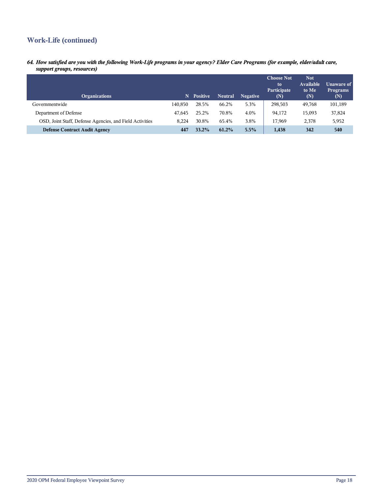# **Work-Life (continued)**

*64. How satisfied are you with the following Work-Life programs in your agency? Elder Care Programs (for example, elder/adult care, support groups, resources)*

| <b>Organizations</b>                                     | N       | <b>Positive</b> | <b>Neutral</b> | <b>Negative</b> | <b>Choose Not</b><br>to<br>Participate<br>(N) | <b>Not</b><br><b>Available</b><br>to Me<br>(N) | Unaware of<br><b>Programs</b><br>(N) |
|----------------------------------------------------------|---------|-----------------|----------------|-----------------|-----------------------------------------------|------------------------------------------------|--------------------------------------|
| Governmentwide                                           | 140.850 | 28.5%           | 66.2%          | 5.3%            | 298,503                                       | 49.768                                         | 101,189                              |
| Department of Defense                                    | 47.645  | 25.2%           | 70.8%          | 4.0%            | 94,172                                        | 15,093                                         | 37,824                               |
| OSD, Joint Staff, Defense Agencies, and Field Activities | 8.224   | 30.8%           | 65.4%          | 3.8%            | 17.969                                        | 2,378                                          | 5,952                                |
| <b>Defense Contract Audit Agency</b>                     | 447     | 33.2%           | 61.2%          | 5.5%            | 1,438                                         | 342                                            | 540                                  |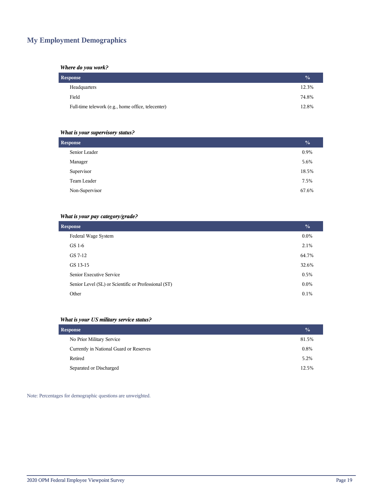# **My Employment Demographics**

#### *Where do you work?*

| Response                                           | $\frac{0}{0}$ |
|----------------------------------------------------|---------------|
| Headquarters                                       | 12.3%         |
| Field                                              | 74.8%         |
| Full-time telework (e.g., home office, telecenter) | 12.8%         |

## *What is your supervisory status?*

| <b>Response</b> | $\frac{0}{0}$ |
|-----------------|---------------|
| Senior Leader   | 0.9%          |
| Manager         | 5.6%          |
| Supervisor      | 18.5%         |
| Team Leader     | 7.5%          |
| Non-Supervisor  | 67.6%         |
|                 |               |

## *What is your pay category/grade?*

| <b>Response</b>                                      | $\frac{0}{0}$ |
|------------------------------------------------------|---------------|
| Federal Wage System                                  | $0.0\%$       |
| GS 1-6                                               | 2.1%          |
| GS 7-12                                              | 64.7%         |
| GS 13-15                                             | 32.6%         |
| Senior Executive Service                             | 0.5%          |
| Senior Level (SL) or Scientific or Professional (ST) | $0.0\%$       |
| Other                                                | 0.1%          |

## *What is your US military service status?*

| Response                                | $\frac{1}{2}$ |
|-----------------------------------------|---------------|
| No Prior Military Service               | 81.5%         |
| Currently in National Guard or Reserves | 0.8%          |
| Retired                                 | 5.2%          |
| Separated or Discharged                 | 12.5%         |

Note: Percentages for demographic questions are unweighted.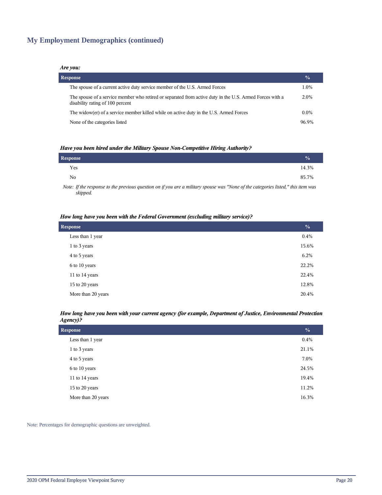# **My Employment Demographics (continued)**

#### *Are you:*

| <b>Response</b>                                                                                                                              | $\frac{0}{0}$ |
|----------------------------------------------------------------------------------------------------------------------------------------------|---------------|
| The spouse of a current active duty service member of the U.S. Armed Forces                                                                  | 1.0%          |
| The spouse of a service member who retired or separated from active duty in the U.S. Armed Forces with a<br>disability rating of 100 percent | 2.0%          |
| The widow(er) of a service member killed while on active duty in the U.S. Armed Forces                                                       | $0.0\%$       |
| None of the categories listed                                                                                                                | 96.9%         |

#### *Have you been hired under the Military Spouse Non-Competitive Hiring Authority?*

| Response |  |                                                                                                                 |   |  |   | $\frac{0}{0}$ |
|----------|--|-----------------------------------------------------------------------------------------------------------------|---|--|---|---------------|
| Yes      |  |                                                                                                                 |   |  |   | 14.3%         |
| No       |  |                                                                                                                 |   |  |   | 85.7%         |
|          |  | the contract of the contract of the contract of the contract of the contract of the contract of the contract of | . |  | . |               |

*Note: If the response to the previous question on if you are a military spouse was "None of the categories listed," this item was skipped.*

#### *How long have you been with the Federal Government (excluding military service)?*

| <b>Response</b>    |       |  |
|--------------------|-------|--|
| Less than 1 year   | 0.4%  |  |
| 1 to 3 years       | 15.6% |  |
| 4 to 5 years       | 6.2%  |  |
| 6 to 10 years      | 22.2% |  |
| 11 to 14 years     | 22.4% |  |
| 15 to 20 years     | 12.8% |  |
| More than 20 years | 20.4% |  |

#### *How long have you been with your current agency (for example, Department of Justice, Environmental Protection Agency)?*

| <b>Response</b>    |       |  |
|--------------------|-------|--|
| Less than 1 year   | 0.4%  |  |
| 1 to 3 years       | 21.1% |  |
| 4 to 5 years       | 7.0%  |  |
| 6 to 10 years      | 24.5% |  |
| 11 to 14 years     | 19.4% |  |
| 15 to 20 years     | 11.2% |  |
| More than 20 years | 16.3% |  |

Note: Percentages for demographic questions are unweighted.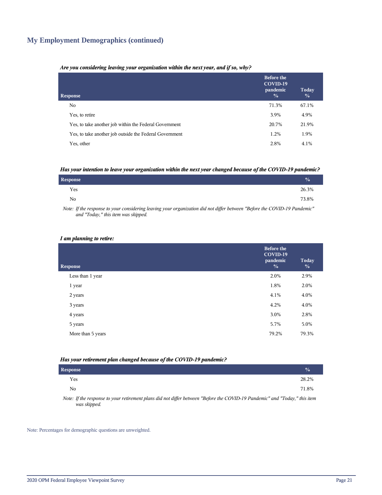## **My Employment Demographics (continued)**

#### *Are you considering leaving your organization within the next year, and if so, why?*

| <b>Response</b>                                         | <b>Before the</b><br>COVID-19<br>pandemic<br>$\frac{0}{0}$ | Today<br>$\frac{0}{0}$ |
|---------------------------------------------------------|------------------------------------------------------------|------------------------|
| No.                                                     | 71.3%                                                      | 67.1%                  |
| Yes, to retire                                          | 3.9%                                                       | 4.9%                   |
| Yes, to take another job within the Federal Government  | 20.7%                                                      | 21.9%                  |
| Yes, to take another job outside the Federal Government | 1.2%                                                       | 1.9%                   |
| Yes, other                                              | 2.8%                                                       | 4.1%                   |

#### *Has your intention to leave your organization within the next year changed because of the COVID-19 pandemic?*

| Response | $\frac{0}{0}$ |
|----------|---------------|
| Yes      | 26.3%         |
| No       | 73.8%         |

*Note: If the response to your considering leaving your organization did not differ between "Before the COVID-19 Pandemic" and "Today," this item was skipped.*

#### *I am planning to retire:*

| <b>Response</b>   | <b>Before the</b><br>COVID-19<br>pandemic<br>$\frac{0}{0}$ | Today<br>$\frac{0}{0}$ |
|-------------------|------------------------------------------------------------|------------------------|
| Less than 1 year  | 2.0%                                                       | 2.9%                   |
| 1 year            | 1.8%                                                       | 2.0%                   |
| 2 years           | 4.1%                                                       | 4.0%                   |
| 3 years           | 4.2%                                                       | 4.0%                   |
| 4 years           | 3.0%                                                       | 2.8%                   |
| 5 years           | 5.7%                                                       | 5.0%                   |
| More than 5 years | 79.2%                                                      | 79.3%                  |
|                   |                                                            |                        |

#### *Has your retirement plan changed because of the COVID-19 pandemic?*

| <b>Response</b> |                                                                                                                                                                                                                                        |  |  |  |  |  | $\frac{0}{0}$ |
|-----------------|----------------------------------------------------------------------------------------------------------------------------------------------------------------------------------------------------------------------------------------|--|--|--|--|--|---------------|
| Yes             |                                                                                                                                                                                                                                        |  |  |  |  |  | 28.2%         |
| N <sub>0</sub>  |                                                                                                                                                                                                                                        |  |  |  |  |  | 71.8%         |
| $\mathbf{v}$    | $\mathcal{L}$ , and the same is the control of $\mathcal{L}$ . The same is the same in the same in the same is the same in the same in the same in the same in the same in the same in the same in the same in the same in the same in |  |  |  |  |  |               |

*Note: If the response to your retirement plans did not differ between "Before the COVID-19 Pandemic" and "Today," this item was skipped.*

Note: Percentages for demographic questions are unweighted.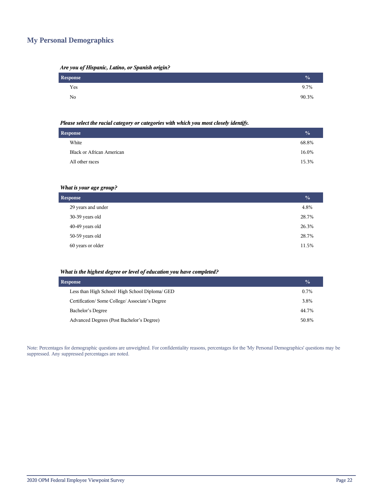## **My Personal Demographics**

| Are you of Hispanic, Latino, or Spanish origin? |  |  |  |
|-------------------------------------------------|--|--|--|
|                                                 |  |  |  |

| Response | $\%$  |
|----------|-------|
| Yes      | 9.7%  |
| No       | 90.3% |

#### *Please select the racial category or categories with which you most closely identify.*

| <b>Response</b> |                                  |       |
|-----------------|----------------------------------|-------|
|                 | White                            | 68.8% |
|                 | <b>Black or African American</b> | 16.0% |
|                 | All other races                  | 15.3% |
|                 |                                  |       |

## *What is your age group?*

| <b>Response</b>    |       |  |
|--------------------|-------|--|
| 29 years and under | 4.8%  |  |
| 30-39 years old    | 28.7% |  |
| 40-49 years old    | 26.3% |  |
| 50-59 years old    | 28.7% |  |
| 60 years or older  | 11.5% |  |

#### *What is the highest degree or level of education you have completed?*

| <b>Response</b>                                 |         |  |  |
|-------------------------------------------------|---------|--|--|
| Less than High School/ High School Diploma/ GED | $0.7\%$ |  |  |
| Certification/Some College/Associate's Degree   | 3.8%    |  |  |
| Bachelor's Degree                               | 44.7%   |  |  |
| Advanced Degrees (Post Bachelor's Degree)       | 50.8%   |  |  |

Note: Percentages for demographic questions are unweighted. For confidentiality reasons, percentages for the 'My Personal Demographics' questions may be suppressed. Any suppressed percentages are noted.